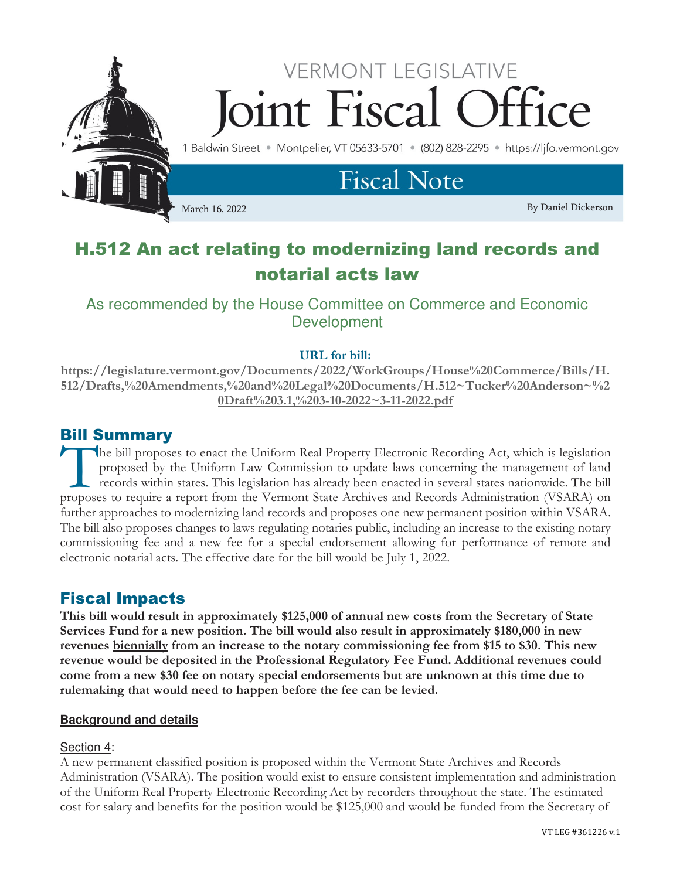

# H.512 An act relating to modernizing land records and notarial acts law

# As recommended by the House Committee on Commerce and Economic **Development**

## URL for bill:

https://legislature.vermont.gov/Documents/2022/WorkGroups/House%20Commerce/Bills/H. 512/Drafts,%20Amendments,%20and%20Legal%20Documents/H.512~Tucker%20Anderson~%2 0Draft%203.1,%203-10-2022~3-11-2022.pdf

## Bill Summary

he bill proposes to enact the Uniform Real Property Electronic Recording Act, which is legislation proposed by the Uniform Law Commission to update laws concerning the management of land records within states. This legislation has already been enacted in several states nationwide. The bill The bill proposes to enact the Uniform Real Property Electronic Recording Act, which is legislation proposed by the Uniform Law Commission to update laws concerning the management of land records within states. This legisl further approaches to modernizing land records and proposes one new permanent position within VSARA. The bill also proposes changes to laws regulating notaries public, including an increase to the existing notary commissioning fee and a new fee for a special endorsement allowing for performance of remote and electronic notarial acts. The effective date for the bill would be July 1, 2022.

## Fiscal Impacts

This bill would result in approximately \$125,000 of annual new costs from the Secretary of State Services Fund for a new position. The bill would also result in approximately \$180,000 in new revenues biennially from an increase to the notary commissioning fee from \$15 to \$30. This new revenue would be deposited in the Professional Regulatory Fee Fund. Additional revenues could come from a new \$30 fee on notary special endorsements but are unknown at this time due to rulemaking that would need to happen before the fee can be levied.

## **Background and details**

## Section 4:

A new permanent classified position is proposed within the Vermont State Archives and Records Administration (VSARA). The position would exist to ensure consistent implementation and administration of the Uniform Real Property Electronic Recording Act by recorders throughout the state. The estimated cost for salary and benefits for the position would be \$125,000 and would be funded from the Secretary of